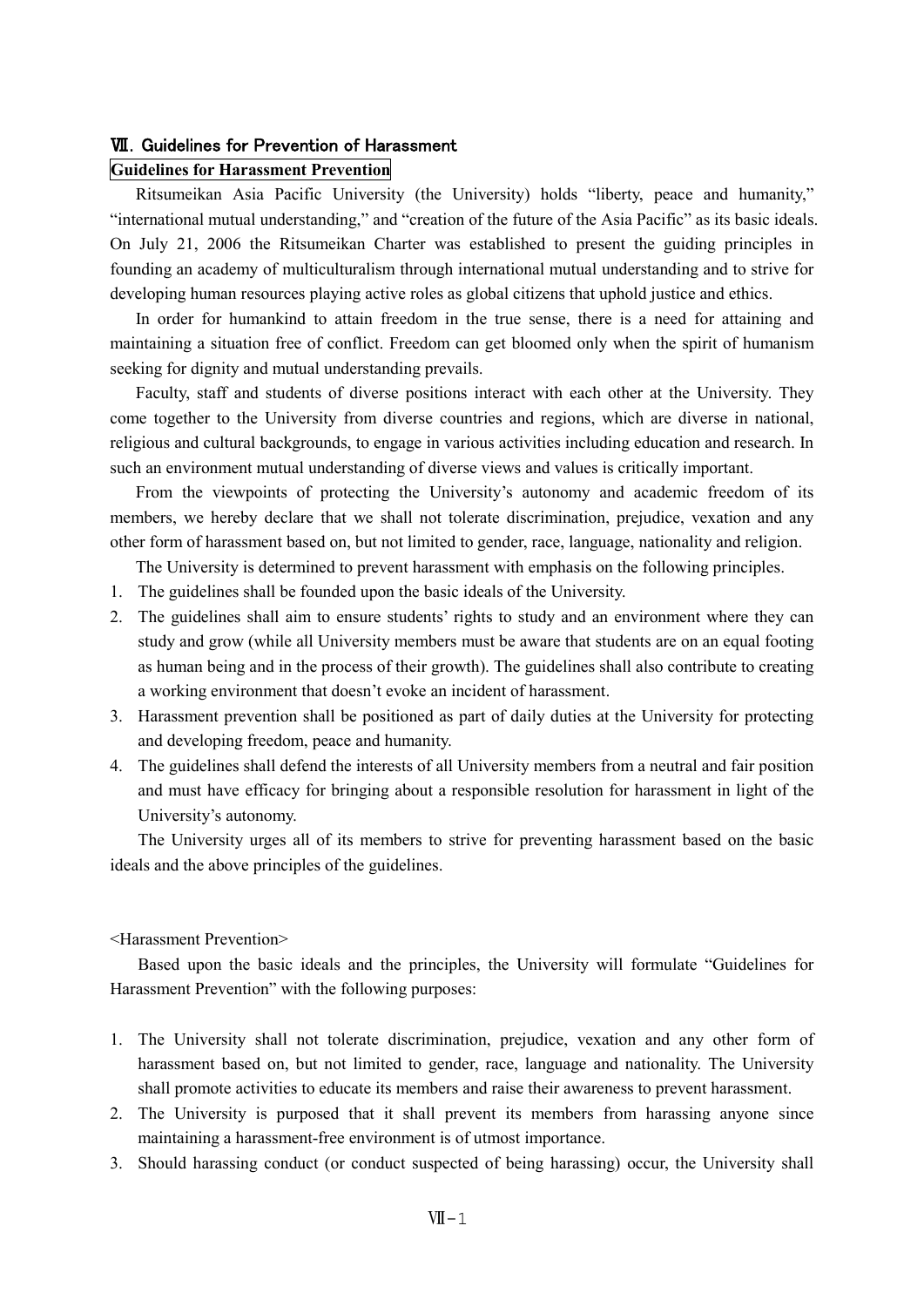# **WI.** Guidelines for Prevention of Harassment

# **Guidelines for Harassment Prevention**

Ritsumeikan Asia Pacific University (the University) holds "liberty, peace and humanity," "international mutual understanding," and "creation of the future of the Asia Pacific" as its basic ideals. On July 21, 2006 the Ritsumeikan Charter was established to present the guiding principles in founding an academy of multiculturalism through international mutual understanding and to strive for developing human resources playing active roles as global citizens that uphold justice and ethics.

In order for humankind to attain freedom in the true sense, there is a need for attaining and maintaining a situation free of conflict. Freedom can get bloomed only when the spirit of humanism seeking for dignity and mutual understanding prevails.

Faculty, staff and students of diverse positions interact with each other at the University. They come together to the University from diverse countries and regions, which are diverse in national, religious and cultural backgrounds, to engage in various activities including education and research. In such an environment mutual understanding of diverse views and values is critically important.

From the viewpoints of protecting the University's autonomy and academic freedom of its members, we hereby declare that we shall not tolerate discrimination, prejudice, vexation and any other form of harassment based on, but not limited to gender, race, language, nationality and religion.

The University is determined to prevent harassment with emphasis on the following principles.

- 1. The guidelines shall be founded upon the basic ideals of the University.
- 2. The guidelines shall aim to ensure students' rights to study and an environment where they can study and grow (while all University members must be aware that students are on an equal footing as human being and in the process of their growth). The guidelines shall also contribute to creating a working environment that doesn't evoke an incident of harassment.
- 3. Harassment prevention shall be positioned as part of daily duties at the University for protecting and developing freedom, peace and humanity.
- 4. The guidelines shall defend the interests of all University members from a neutral and fair position and must have efficacy for bringing about a responsible resolution for harassment in light of the University's autonomy.

The University urges all of its members to strive for preventing harassment based on the basic ideals and the above principles of the guidelines.

# <Harassment Prevention>

Based upon the basic ideals and the principles, the University will formulate "Guidelines for Harassment Prevention" with the following purposes:

- 1. The University shall not tolerate discrimination, prejudice, vexation and any other form of harassment based on, but not limited to gender, race, language and nationality. The University shall promote activities to educate its members and raise their awareness to prevent harassment.
- 2. The University is purposed that it shall prevent its members from harassing anyone since maintaining a harassment-free environment is of utmost importance.
- 3. Should harassing conduct (or conduct suspected of being harassing) occur, the University shall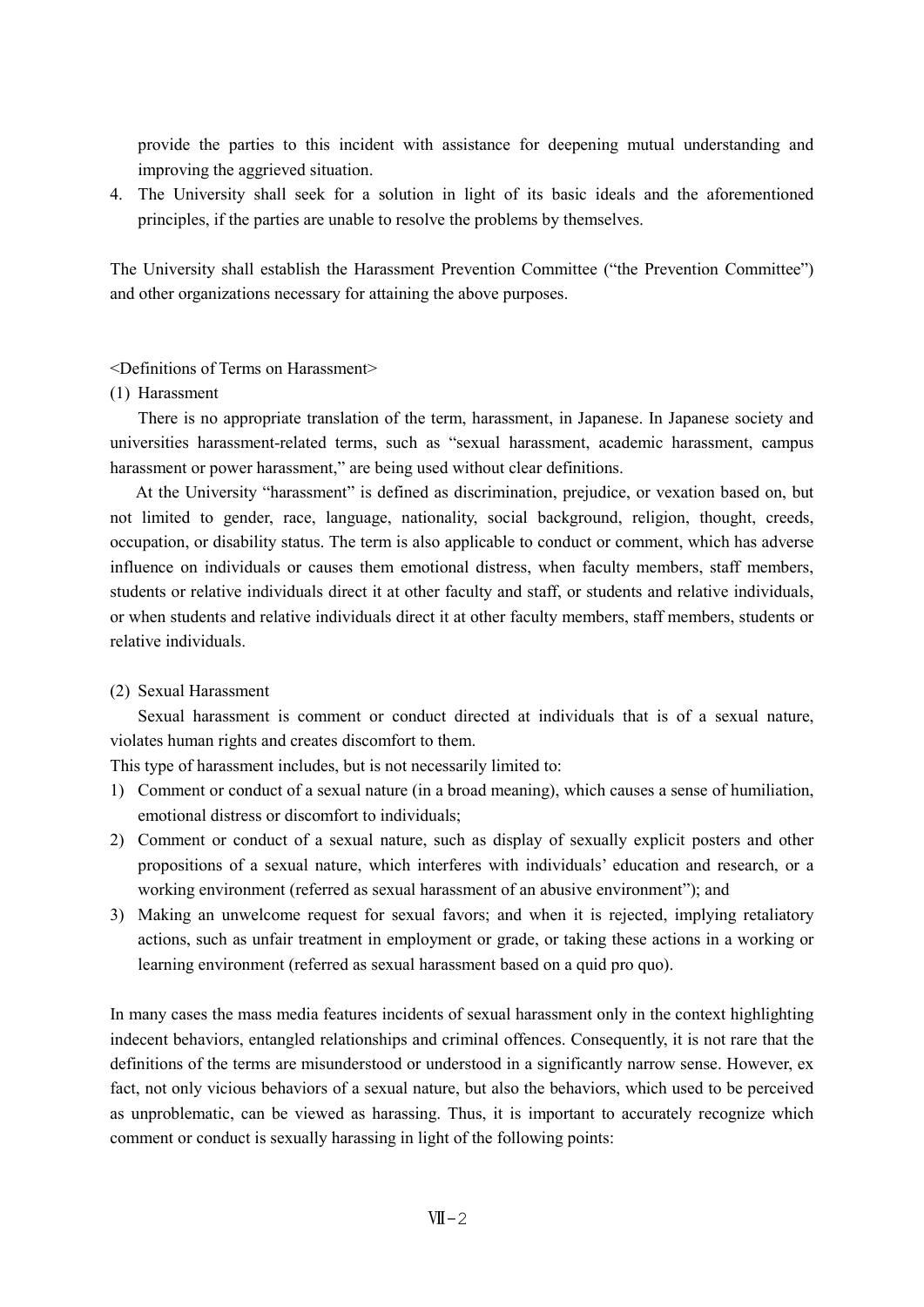provide the parties to this incident with assistance for deepening mutual understanding and improving the aggrieved situation.

4. The University shall seek for a solution in light of its basic ideals and the aforementioned principles, if the parties are unable to resolve the problems by themselves.

The University shall establish the Harassment Prevention Committee ("the Prevention Committee") and other organizations necessary for attaining the above purposes.

## <Definitions of Terms on Harassment>

## (1) Harassment

There is no appropriate translation of the term, harassment, in Japanese. In Japanese society and universities harassment-related terms, such as "sexual harassment, academic harassment, campus harassment or power harassment," are being used without clear definitions.

At the University "harassment" is defined as discrimination, prejudice, or vexation based on, but not limited to gender, race, language, nationality, social background, religion, thought, creeds, occupation, or disability status. The term is also applicable to conduct or comment, which has adverse influence on individuals or causes them emotional distress, when faculty members, staff members, students or relative individuals direct it at other faculty and staff, or students and relative individuals, or when students and relative individuals direct it at other faculty members, staff members, students or relative individuals.

# (2) Sexual Harassment

Sexual harassment is comment or conduct directed at individuals that is of a sexual nature, violates human rights and creates discomfort to them.

This type of harassment includes, but is not necessarily limited to:

- 1) Comment or conduct of a sexual nature (in a broad meaning), which causes a sense of humiliation, emotional distress or discomfort to individuals;
- 2) Comment or conduct of a sexual nature, such as display of sexually explicit posters and other propositions of a sexual nature, which interferes with individuals' education and research, or a working environment (referred as sexual harassment of an abusive environment"); and
- 3) Making an unwelcome request for sexual favors; and when it is rejected, implying retaliatory actions, such as unfair treatment in employment or grade, or taking these actions in a working or learning environment (referred as sexual harassment based on a quid pro quo).

In many cases the mass media features incidents of sexual harassment only in the context highlighting indecent behaviors, entangled relationships and criminal offences. Consequently, it is not rare that the definitions of the terms are misunderstood or understood in a significantly narrow sense. However, ex fact, not only vicious behaviors of a sexual nature, but also the behaviors, which used to be perceived as unproblematic, can be viewed as harassing. Thus, it is important to accurately recognize which comment or conduct is sexually harassing in light of the following points: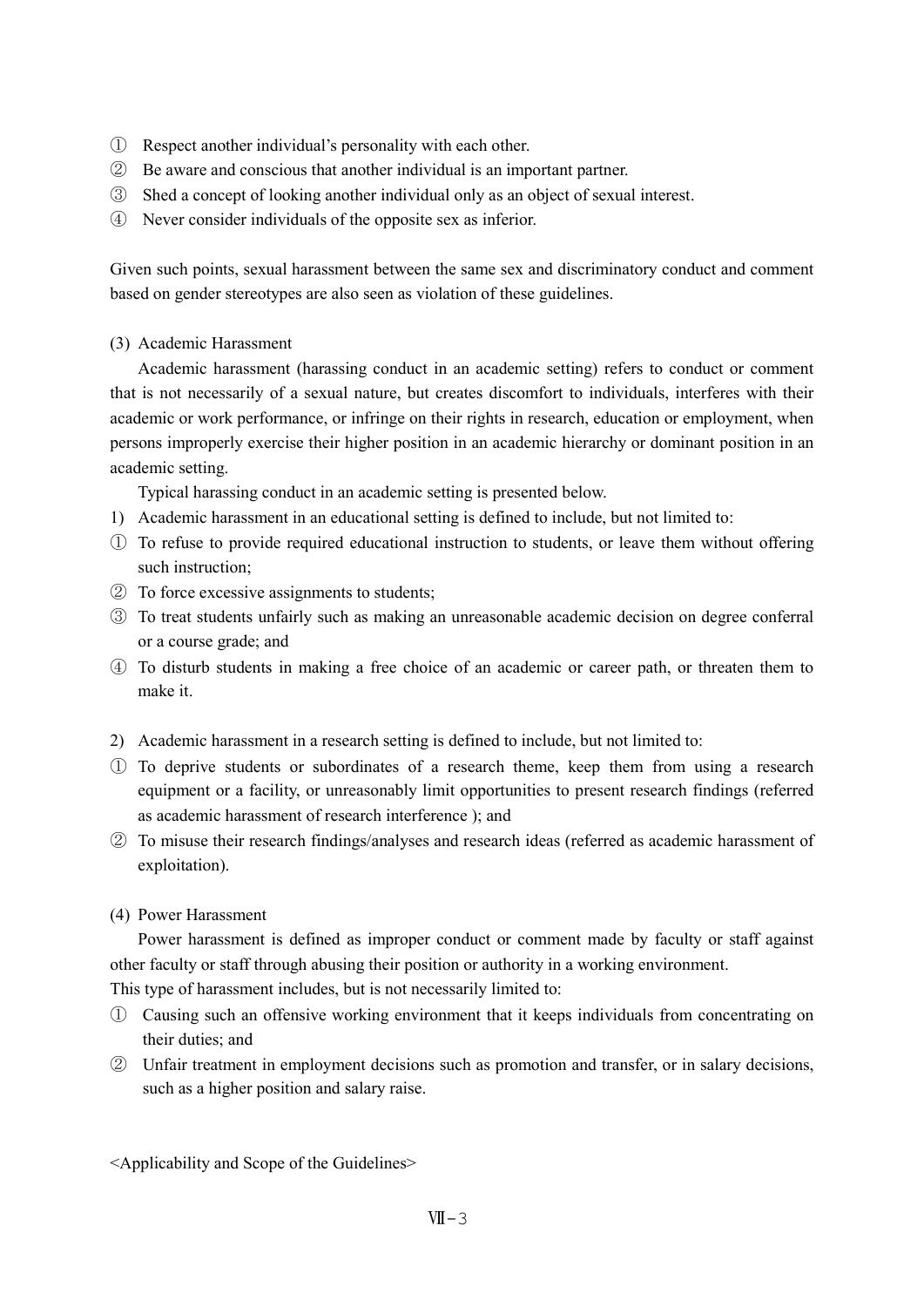- ① Respect another individual's personality with each other.
- ② Be aware and conscious that another individual is an important partner.
- ③ Shed a concept of looking another individual only as an object of sexual interest.
- ④ Never consider individuals of the opposite sex as inferior.

Given such points, sexual harassment between the same sex and discriminatory conduct and comment based on gender stereotypes are also seen as violation of these guidelines.

(3) Academic Harassment

Academic harassment (harassing conduct in an academic setting) refers to conduct or comment that is not necessarily of a sexual nature, but creates discomfort to individuals, interferes with their academic or work performance, or infringe on their rights in research, education or employment, when persons improperly exercise their higher position in an academic hierarchy or dominant position in an academic setting.

Typical harassing conduct in an academic setting is presented below.

- 1) Academic harassment in an educational setting is defined to include, but not limited to:
- ① To refuse to provide required educational instruction to students, or leave them without offering such instruction;
- ② To force excessive assignments to students;
- ③ To treat students unfairly such as making an unreasonable academic decision on degree conferral or a course grade; and
- ④ To disturb students in making a free choice of an academic or career path, or threaten them to make it.
- 2) Academic harassment in a research setting is defined to include, but not limited to:
- ① To deprive students or subordinates of a research theme, keep them from using a research equipment or a facility, or unreasonably limit opportunities to present research findings (referred as academic harassment of research interference ); and
- ② To misuse their research findings/analyses and research ideas (referred as academic harassment of exploitation).
- (4) Power Harassment

Power harassment is defined as improper conduct or comment made by faculty or staff against other faculty or staff through abusing their position or authority in a working environment.

This type of harassment includes, but is not necessarily limited to:

- ① Causing such an offensive working environment that it keeps individuals from concentrating on their duties; and
- ② Unfair treatment in employment decisions such as promotion and transfer, or in salary decisions, such as a higher position and salary raise.

<Applicability and Scope of the Guidelines>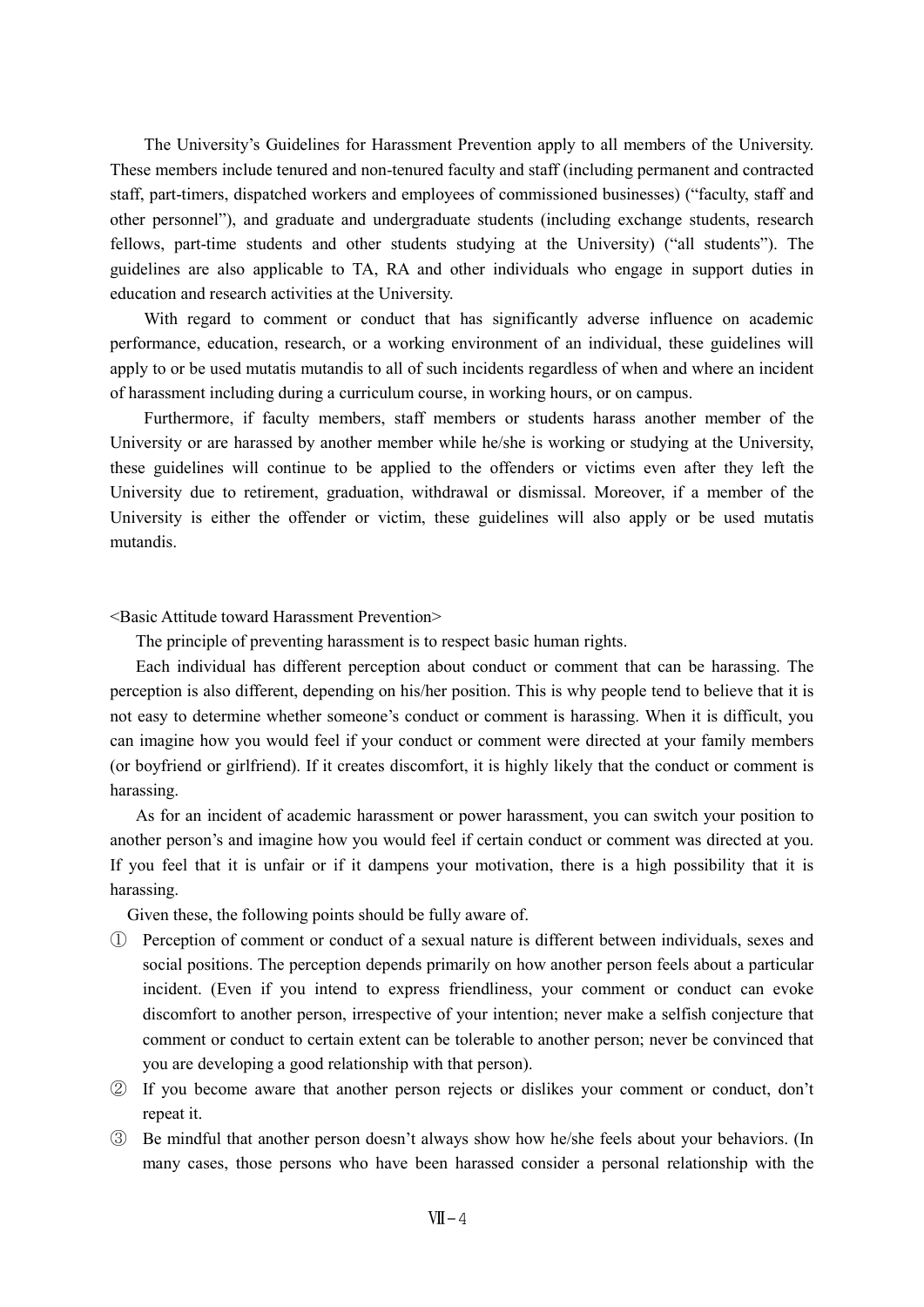The University's Guidelines for Harassment Prevention apply to all members of the University. These members include tenured and non-tenured faculty and staff (including permanent and contracted staff, part-timers, dispatched workers and employees of commissioned businesses) ("faculty, staff and other personnel"), and graduate and undergraduate students (including exchange students, research fellows, part-time students and other students studying at the University) ("all students"). The guidelines are also applicable to TA, RA and other individuals who engage in support duties in education and research activities at the University.

With regard to comment or conduct that has significantly adverse influence on academic performance, education, research, or a working environment of an individual, these guidelines will apply to or be used mutatis mutandis to all of such incidents regardless of when and where an incident of harassment including during a curriculum course, in working hours, or on campus.

Furthermore, if faculty members, staff members or students harass another member of the University or are harassed by another member while he/she is working or studying at the University, these guidelines will continue to be applied to the offenders or victims even after they left the University due to retirement, graduation, withdrawal or dismissal. Moreover, if a member of the University is either the offender or victim, these guidelines will also apply or be used mutatis mutandis.

### <Basic Attitude toward Harassment Prevention>

The principle of preventing harassment is to respect basic human rights.

Each individual has different perception about conduct or comment that can be harassing. The perception is also different, depending on his/her position. This is why people tend to believe that it is not easy to determine whether someone's conduct or comment is harassing. When it is difficult, you can imagine how you would feel if your conduct or comment were directed at your family members (or boyfriend or girlfriend). If it creates discomfort, it is highly likely that the conduct or comment is harassing.

As for an incident of academic harassment or power harassment, you can switch your position to another person's and imagine how you would feel if certain conduct or comment was directed at you. If you feel that it is unfair or if it dampens your motivation, there is a high possibility that it is harassing.

Given these, the following points should be fully aware of.

- ① Perception of comment or conduct of a sexual nature is different between individuals, sexes and social positions. The perception depends primarily on how another person feels about a particular incident. (Even if you intend to express friendliness, your comment or conduct can evoke discomfort to another person, irrespective of your intention; never make a selfish conjecture that comment or conduct to certain extent can be tolerable to another person; never be convinced that you are developing a good relationship with that person).
- ② If you become aware that another person rejects or dislikes your comment or conduct, don't repeat it.
- ③ Be mindful that another person doesn't always show how he/she feels about your behaviors. (In many cases, those persons who have been harassed consider a personal relationship with the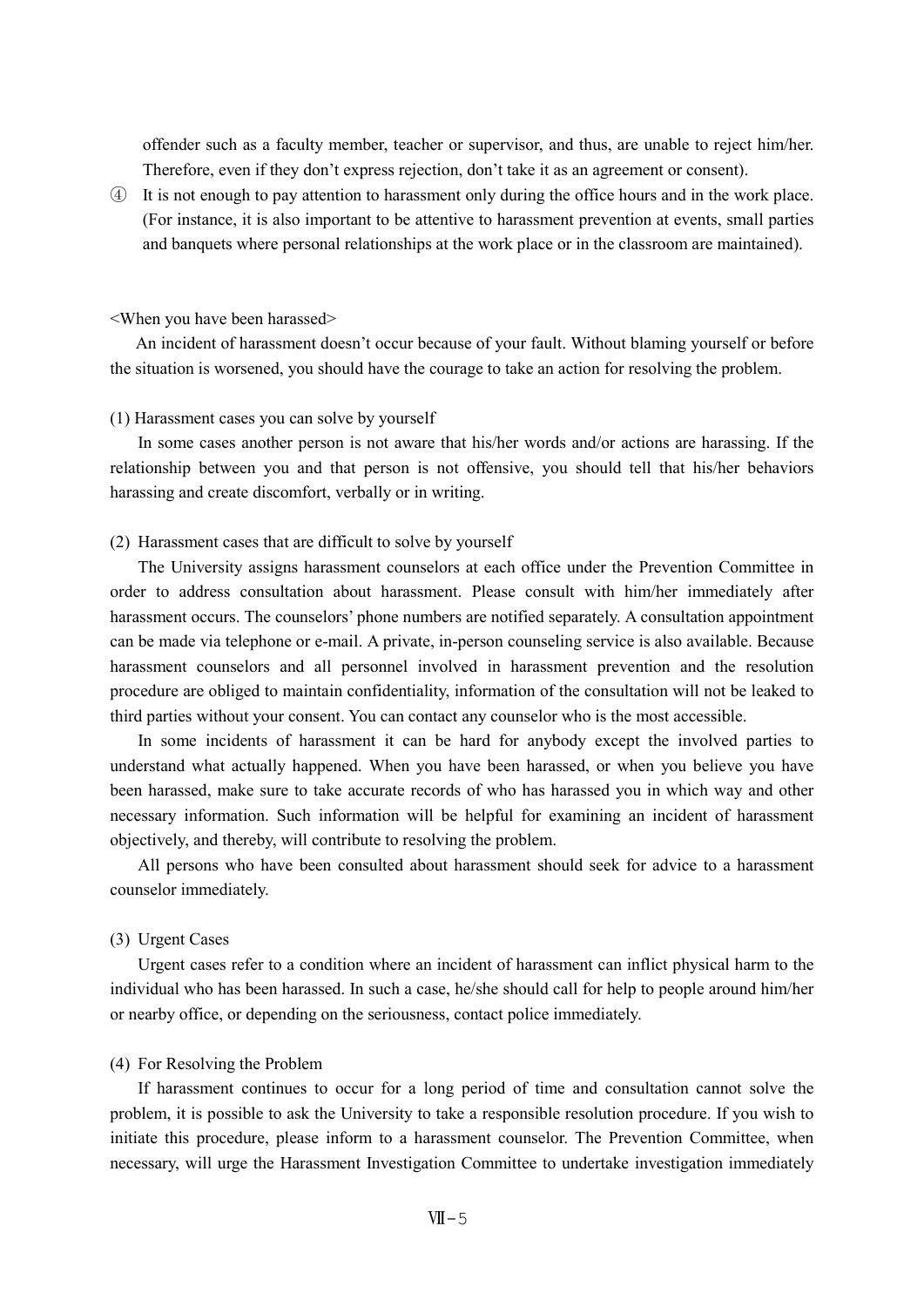offender such as a faculty member, teacher or supervisor, and thus, are unable to reject him/her. Therefore, even if they don't express rejection, don't take it as an agreement or consent).

④ It is not enough to pay attention to harassment only during the office hours and in the work place. (For instance, it is also important to be attentive to harassment prevention at events, small parties and banquets where personal relationships at the work place or in the classroom are maintained).

#### <When you have been harassed>

An incident of harassment doesn't occur because of your fault. Without blaming yourself or before the situation is worsened, you should have the courage to take an action for resolving the problem.

#### (1) Harassment cases you can solve by yourself

In some cases another person is not aware that his/her words and/or actions are harassing. If the relationship between you and that person is not offensive, you should tell that his/her behaviors harassing and create discomfort, verbally or in writing.

### (2) Harassment cases that are difficult to solve by yourself

The University assigns harassment counselors at each office under the Prevention Committee in order to address consultation about harassment. Please consult with him/her immediately after harassment occurs. The counselors' phone numbers are notified separately. A consultation appointment can be made via telephone or e-mail. A private, in-person counseling service is also available. Because harassment counselors and all personnel involved in harassment prevention and the resolution procedure are obliged to maintain confidentiality, information of the consultation will not be leaked to third parties without your consent. You can contact any counselor who is the most accessible.

In some incidents of harassment it can be hard for anybody except the involved parties to understand what actually happened. When you have been harassed, or when you believe you have been harassed, make sure to take accurate records of who has harassed you in which way and other necessary information. Such information will be helpful for examining an incident of harassment objectively, and thereby, will contribute to resolving the problem.

All persons who have been consulted about harassment should seek for advice to a harassment counselor immediately.

#### (3) Urgent Cases

Urgent cases refer to a condition where an incident of harassment can inflict physical harm to the individual who has been harassed. In such a case, he/she should call for help to people around him/her or nearby office, or depending on the seriousness, contact police immediately.

### (4) For Resolving the Problem

If harassment continues to occur for a long period of time and consultation cannot solve the problem, it is possible to ask the University to take a responsible resolution procedure. If you wish to initiate this procedure, please inform to a harassment counselor. The Prevention Committee, when necessary, will urge the Harassment Investigation Committee to undertake investigation immediately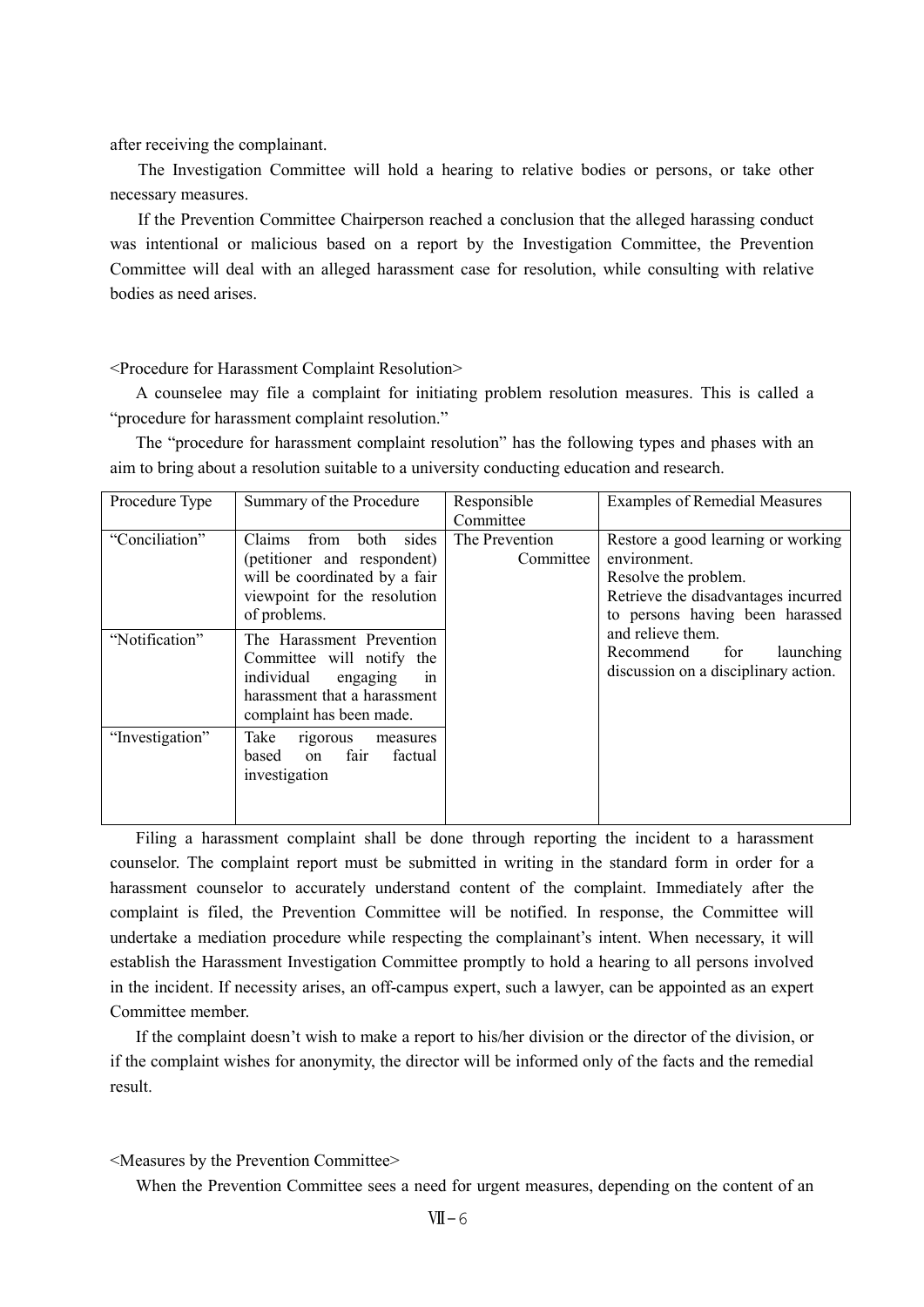after receiving the complainant.

The Investigation Committee will hold a hearing to relative bodies or persons, or take other necessary measures.

If the Prevention Committee Chairperson reached a conclusion that the alleged harassing conduct was intentional or malicious based on a report by the Investigation Committee, the Prevention Committee will deal with an alleged harassment case for resolution, while consulting with relative bodies as need arises.

<Procedure for Harassment Complaint Resolution>

A counselee may file a complaint for initiating problem resolution measures. This is called a "procedure for harassment complaint resolution."

The "procedure for harassment complaint resolution" has the following types and phases with an aim to bring about a resolution suitable to a university conducting education and research.

| Procedure Type  | Summary of the Procedure                                                                                                                           | Responsible<br>Committee    | <b>Examples of Remedial Measures</b>                                                                                                                                                                                                               |
|-----------------|----------------------------------------------------------------------------------------------------------------------------------------------------|-----------------------------|----------------------------------------------------------------------------------------------------------------------------------------------------------------------------------------------------------------------------------------------------|
| "Conciliation"  | sides<br>Claims<br>both<br>from<br>(petitioner and respondent)<br>will be coordinated by a fair<br>viewpoint for the resolution<br>of problems.    | The Prevention<br>Committee | Restore a good learning or working<br>environment.<br>Resolve the problem.<br>Retrieve the disadvantages incurred<br>to persons having been harassed<br>and relieve them.<br>for<br>Recommend<br>launching<br>discussion on a disciplinary action. |
| "Notification"  | The Harassment Prevention<br>Committee will notify the<br>individual<br>engaging<br>1n<br>harassment that a harassment<br>complaint has been made. |                             |                                                                                                                                                                                                                                                    |
| "Investigation" | Take<br>rigorous<br>measures<br>fair<br>factual<br>based<br>on<br>investigation                                                                    |                             |                                                                                                                                                                                                                                                    |

Filing a harassment complaint shall be done through reporting the incident to a harassment counselor. The complaint report must be submitted in writing in the standard form in order for a harassment counselor to accurately understand content of the complaint. Immediately after the complaint is filed, the Prevention Committee will be notified. In response, the Committee will undertake a mediation procedure while respecting the complainant's intent. When necessary, it will establish the Harassment Investigation Committee promptly to hold a hearing to all persons involved in the incident. If necessity arises, an off-campus expert, such a lawyer, can be appointed as an expert Committee member.

If the complaint doesn't wish to make a report to his/her division or the director of the division, or if the complaint wishes for anonymity, the director will be informed only of the facts and the remedial result.

### <Measures by the Prevention Committee>

When the Prevention Committee sees a need for urgent measures, depending on the content of an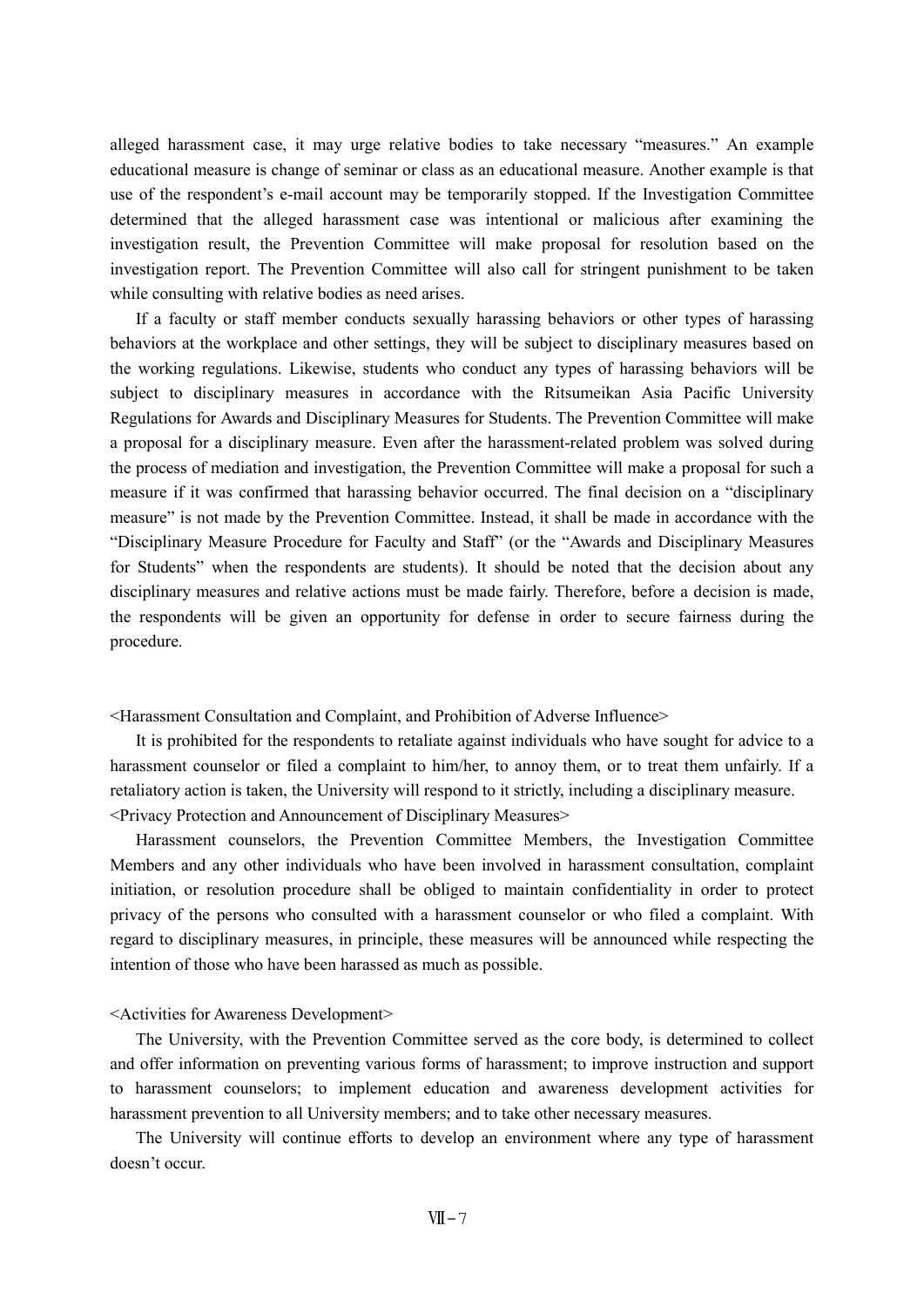alleged harassment case, it may urge relative bodies to take necessary "measures." An example educational measure is change of seminar or class as an educational measure. Another example is that use of the respondent's e-mail account may be temporarily stopped. If the Investigation Committee determined that the alleged harassment case was intentional or malicious after examining the investigation result, the Prevention Committee will make proposal for resolution based on the investigation report. The Prevention Committee will also call for stringent punishment to be taken while consulting with relative bodies as need arises.

If a faculty or staff member conducts sexually harassing behaviors or other types of harassing behaviors at the workplace and other settings, they will be subject to disciplinary measures based on the working regulations. Likewise, students who conduct any types of harassing behaviors will be subject to disciplinary measures in accordance with the Ritsumeikan Asia Pacific University Regulations for Awards and Disciplinary Measures for Students. The Prevention Committee will make a proposal for a disciplinary measure. Even after the harassment-related problem was solved during the process of mediation and investigation, the Prevention Committee will make a proposal for such a measure if it was confirmed that harassing behavior occurred. The final decision on a "disciplinary measure" is not made by the Prevention Committee. Instead, it shall be made in accordance with the "Disciplinary Measure Procedure for Faculty and Staff" (or the "Awards and Disciplinary Measures for Students" when the respondents are students). It should be noted that the decision about any disciplinary measures and relative actions must be made fairly. Therefore, before a decision is made, the respondents will be given an opportunity for defense in order to secure fairness during the procedure.

<Harassment Consultation and Complaint, and Prohibition of Adverse Influence>

It is prohibited for the respondents to retaliate against individuals who have sought for advice to a harassment counselor or filed a complaint to him/her, to annoy them, or to treat them unfairly. If a retaliatory action is taken, the University will respond to it strictly, including a disciplinary measure. <Privacy Protection and Announcement of Disciplinary Measures>

Harassment counselors, the Prevention Committee Members, the Investigation Committee Members and any other individuals who have been involved in harassment consultation, complaint initiation, or resolution procedure shall be obliged to maintain confidentiality in order to protect privacy of the persons who consulted with a harassment counselor or who filed a complaint. With regard to disciplinary measures, in principle, these measures will be announced while respecting the intention of those who have been harassed as much as possible.

<Activities for Awareness Development>

The University, with the Prevention Committee served as the core body, is determined to collect and offer information on preventing various forms of harassment; to improve instruction and support to harassment counselors; to implement education and awareness development activities for harassment prevention to all University members; and to take other necessary measures.

The University will continue efforts to develop an environment where any type of harassment doesn't occur.